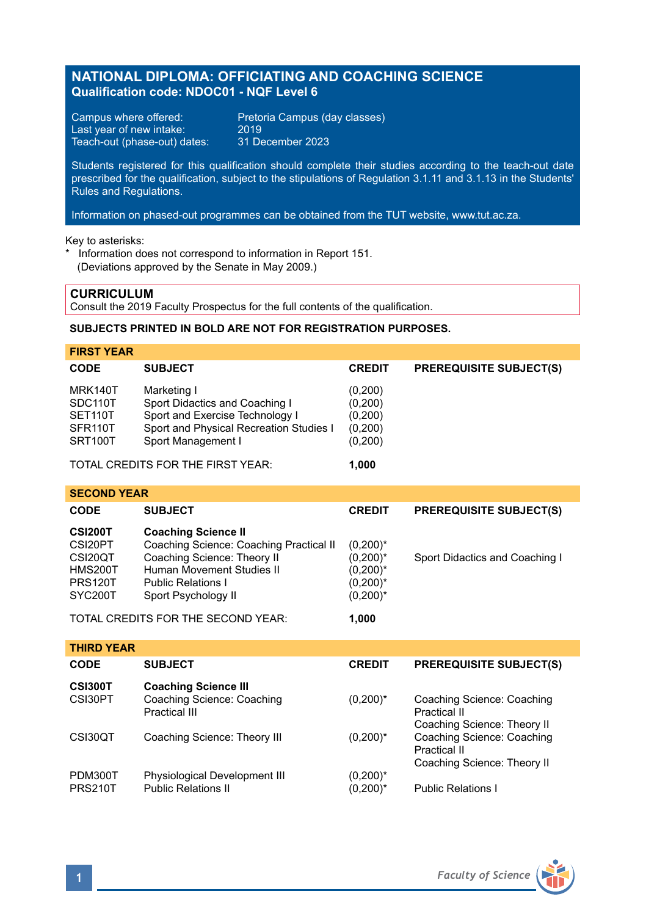# **NATIONAL DIPLOMA: OFFICIATING AND COACHING SCIENCE Qualification code: NDOC01 - NQF Level 6**

Campus where offered: Pretoria Campus (day classes)<br>Last year of new intake: 2019 Last year of new intake: 2019<br>Teach-out (phase-out) dates: 31 December 2023 Teach-out (phase-out) dates:

Students registered for this qualification should complete their studies according to the teach-out date prescribed for the qualification, subject to the stipulations of Regulation 3.1.11 and 3.1.13 in the Students' Rules and Regulations.

Information on phased-out programmes can be obtained from the TUT website, www.tut.ac.za.

Key to asterisks:

\* Information does not correspond to information in Report 151. (Deviations approved by the Senate in May 2009.)

# **CURRICULUM**

Consult the 2019 Faculty Prospectus for the full contents of the qualification.

# **SUBJECTS PRINTED IN BOLD ARE NOT FOR REGISTRATION PURPOSES.**

| <b>FIRST YEAR</b>                 |                                         |               |                                |
|-----------------------------------|-----------------------------------------|---------------|--------------------------------|
| <b>CODE</b>                       | <b>SUBJECT</b>                          | <b>CREDIT</b> | <b>PREREQUISITE SUBJECT(S)</b> |
| MRK140T                           | Marketing I                             | (0,200)       |                                |
| SDC110T                           | Sport Didactics and Coaching I          | (0,200)       |                                |
| SET110T                           | Sport and Exercise Technology I         | (0,200)       |                                |
| SFR <sub>110</sub> T              | Sport and Physical Recreation Studies I | (0,200)       |                                |
| SRT100T                           | Sport Management I                      | (0,200)       |                                |
| TOTAL CREDITS FOR THE FIRST YEAR: |                                         | 1.000         |                                |

| <b>SECOND YEAR</b>                 |                                         |               |                                |  |  |
|------------------------------------|-----------------------------------------|---------------|--------------------------------|--|--|
| <b>CODE</b>                        | <b>SUBJECT</b>                          | <b>CREDIT</b> | <b>PREREQUISITE SUBJECT(S)</b> |  |  |
| <b>CSI200T</b>                     | <b>Coaching Science II</b>              |               |                                |  |  |
| CSI20PT                            | Coaching Science: Coaching Practical II | $(0,200)^*$   |                                |  |  |
| CSI20QT                            | Coaching Science: Theory II             | $(0,200)^*$   | Sport Didactics and Coaching I |  |  |
| <b>HMS200T</b>                     | Human Movement Studies II               | $(0,200)^*$   |                                |  |  |
| <b>PRS120T</b>                     | <b>Public Relations I</b>               | $(0,200)^*$   |                                |  |  |
| SYC200T                            | Sport Psychology II                     | $(0,200)^*$   |                                |  |  |
| TOTAL CREDITS FOR THE SECOND YEAR: |                                         | 1.000         |                                |  |  |

| <b>THIRD YEAR</b>         |                                                                            |                            |                                                                           |
|---------------------------|----------------------------------------------------------------------------|----------------------------|---------------------------------------------------------------------------|
| CODE                      | <b>SUBJECT</b>                                                             | <b>CREDIT</b>              | <b>PREREQUISITE SUBJECT(S)</b>                                            |
| <b>CSI300T</b><br>CSI30PT | <b>Coaching Science III</b><br>Coaching Science: Coaching<br>Practical III | $(0,200)^*$                | Coaching Science: Coaching<br>Practical II                                |
| CSI30QT                   | Coaching Science: Theory III                                               | $(0,200)^*$                | Coaching Science: Theory II<br>Coaching Science: Coaching<br>Practical II |
| PDM300T<br><b>PRS210T</b> | Physiological Development III<br><b>Public Relations II</b>                | $(0,200)^*$<br>$(0,200)^*$ | Coaching Science: Theory II<br><b>Public Relations I</b>                  |

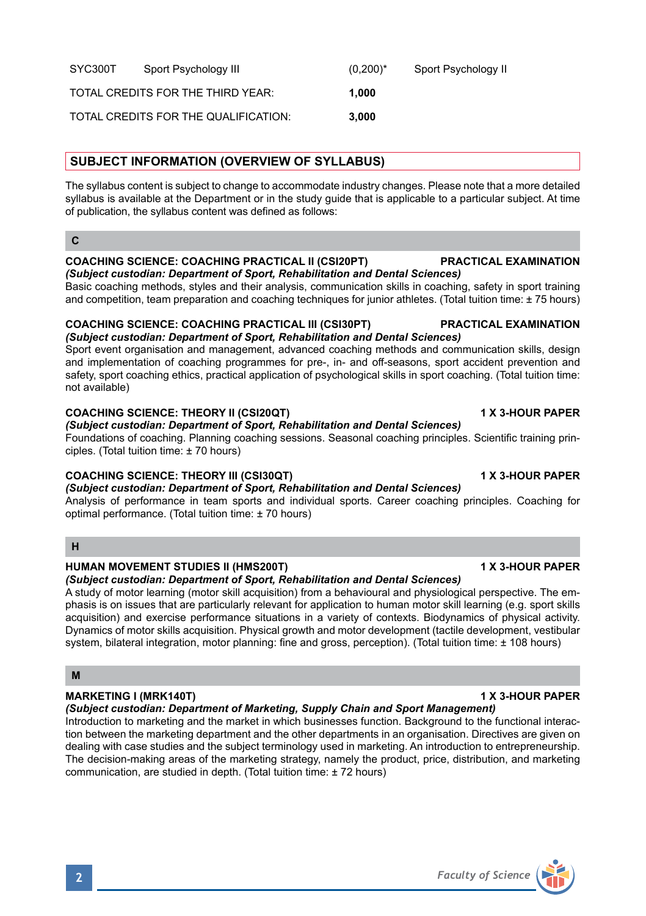SYC300T Sport Psychology III (0.200)\* Sport Psychology II

# **SUBJECT INFORMATION (OVERVIEW OF SYLLABUS)**

The syllabus content is subject to change to accommodate industry changes. Please note that a more detailed syllabus is available at the Department or in the study guide that is applicable to a particular subject. At time of publication, the syllabus content was defined as follows:

# **C**

### **COACHING SCIENCE: COACHING PRACTICAL II (CSI20PT) PRACTICAL EXAMINATION** *(Subject custodian: Department of Sport, Rehabilitation and Dental Sciences)*

Basic coaching methods, styles and their analysis, communication skills in coaching, safety in sport training and competition, team preparation and coaching techniques for junior athletes. (Total tuition time: ± 75 hours)

### **COACHING SCIENCE: COACHING PRACTICAL III (CSI30PT) PRACTICAL EXAMINATION** *(Subject custodian: Department of Sport, Rehabilitation and Dental Sciences)*

Sport event organisation and management, advanced coaching methods and communication skills, design and implementation of coaching programmes for pre-, in- and off-seasons, sport accident prevention and safety, sport coaching ethics, practical application of psychological skills in sport coaching. (Total tuition time: not available)

# **COACHING SCIENCE: THEORY II (CSI20QT) 1 X 3-HOUR PAPER**

# *(Subject custodian: Department of Sport, Rehabilitation and Dental Sciences)*

Foundations of coaching. Planning coaching sessions. Seasonal coaching principles. Scientific training principles. (Total tuition time: ± 70 hours)

# **COACHING SCIENCE: THEORY III (CSI30QT) 1 X 3-HOUR PAPER**

*(Subject custodian: Department of Sport, Rehabilitation and Dental Sciences)*

Analysis of performance in team sports and individual sports. Career coaching principles. Coaching for optimal performance. (Total tuition time: ± 70 hours)

# **H**

# **HUMAN MOVEMENT STUDIES II (HMS200T) 1 X 3-HOUR PAPER**

*(Subject custodian: Department of Sport, Rehabilitation and Dental Sciences)*

A study of motor learning (motor skill acquisition) from a behavioural and physiological perspective. The emphasis is on issues that are particularly relevant for application to human motor skill learning (e.g. sport skills acquisition) and exercise performance situations in a variety of contexts. Biodynamics of physical activity. Dynamics of motor skills acquisition. Physical growth and motor development (tactile development, vestibular system, bilateral integration, motor planning: fine and gross, perception). (Total tuition time: ± 108 hours)

# **M**

# **MARKETING I (MRK140T)** 1 X 3-HOUR PAPER

*(Subject custodian: Department of Marketing, Supply Chain and Sport Management)*

Introduction to marketing and the market in which businesses function. Background to the functional interaction between the marketing department and the other departments in an organisation. Directives are given on dealing with case studies and the subject terminology used in marketing. An introduction to entrepreneurship. The decision-making areas of the marketing strategy, namely the product, price, distribution, and marketing communication, are studied in depth. (Total tuition time: ± 72 hours)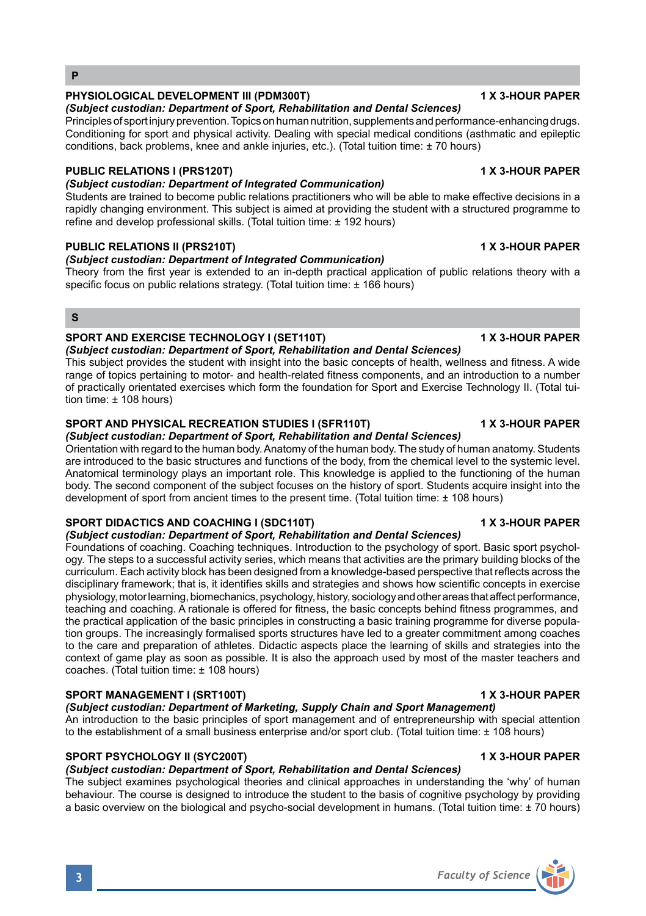# *(Subject custodian: Department of Sport, Rehabilitation and Dental Sciences)*

Principles of sport injury prevention. Topics on human nutrition, supplements and performance-enhancing drugs. Conditioning for sport and physical activity. Dealing with special medical conditions (asthmatic and epileptic conditions, back problems, knee and ankle injuries, etc.). (Total tuition time: ± 70 hours)

### **PUBLIC RELATIONS I (PRS120T) 1 X 3-HOUR PAPER**

# *(Subject custodian: Department of Integrated Communication)*

Students are trained to become public relations practitioners who will be able to make effective decisions in a rapidly changing environment. This subject is aimed at providing the student with a structured programme to refine and develop professional skills. (Total tuition time: ± 192 hours)

# **PUBLIC RELATIONS II (PRS210T) 1 X 3-HOUR PAPER**

### *(Subject custodian: Department of Integrated Communication)*

Theory from the first year is extended to an in-depth practical application of public relations theory with a specific focus on public relations strategy. (Total tuition time: ± 166 hours)

### **S**

# **SPORT AND EXERCISE TECHNOLOGY I (SET110T) 1 X 3-HOUR PAPER**

*(Subject custodian: Department of Sport, Rehabilitation and Dental Sciences)* This subject provides the student with insight into the basic concepts of health, wellness and fitness. A wide range of topics pertaining to motor- and health-related fitness components, and an introduction to a number of practically orientated exercises which form the foundation for Sport and Exercise Technology II. (Total tuition time: ± 108 hours)

# **SPORT AND PHYSICAL RECREATION STUDIES I (SFR110T) 1 X 3-HOUR PAPER**

*(Subject custodian: Department of Sport, Rehabilitation and Dental Sciences)*

Orientation with regard to the human body. Anatomy of the human body. The study of human anatomy. Students are introduced to the basic structures and functions of the body, from the chemical level to the systemic level. Anatomical terminology plays an important role. This knowledge is applied to the functioning of the human body. The second component of the subject focuses on the history of sport. Students acquire insight into the development of sport from ancient times to the present time. (Total tuition time: ± 108 hours)

### **SPORT DIDACTICS AND COACHING I (SDC110T) 1 X 3-HOUR PAPER**

### *(Subject custodian: Department of Sport, Rehabilitation and Dental Sciences)*

Foundations of coaching. Coaching techniques. Introduction to the psychology of sport. Basic sport psychology. The steps to a successful activity series, which means that activities are the primary building blocks of the curriculum. Each activity block has been designed from a knowledge-based perspective that reflects across the disciplinary framework; that is, it identifies skills and strategies and shows how scientific concepts in exercise physiology, motor learning, biomechanics, psychology, history, sociology and other areas that affect performance, teaching and coaching. A rationale is offered for fitness, the basic concepts behind fitness programmes, and the practical application of the basic principles in constructing a basic training programme for diverse population groups. The increasingly formalised sports structures have led to a greater commitment among coaches to the care and preparation of athletes. Didactic aspects place the learning of skills and strategies into the context of game play as soon as possible. It is also the approach used by most of the master teachers and coaches. (Total tuition time: ± 108 hours)

# **SPORT MANAGEMENT I (SRT100T) 1 X 3-HOUR PAPER**

*(Subject custodian: Department of Marketing, Supply Chain and Sport Management)*

An introduction to the basic principles of sport management and of entrepreneurship with special attention to the establishment of a small business enterprise and/or sport club. (Total tuition time: ± 108 hours)

# **SPORT PSYCHOLOGY II (SYC200T) 1 X 3-HOUR PAPER**

# *(Subject custodian: Department of Sport, Rehabilitation and Dental Sciences)*

The subject examines psychological theories and clinical approaches in understanding the 'why' of human behaviour. The course is designed to introduce the student to the basis of cognitive psychology by providing a basic overview on the biological and psycho-social development in humans. (Total tuition time: ± 70 hours)